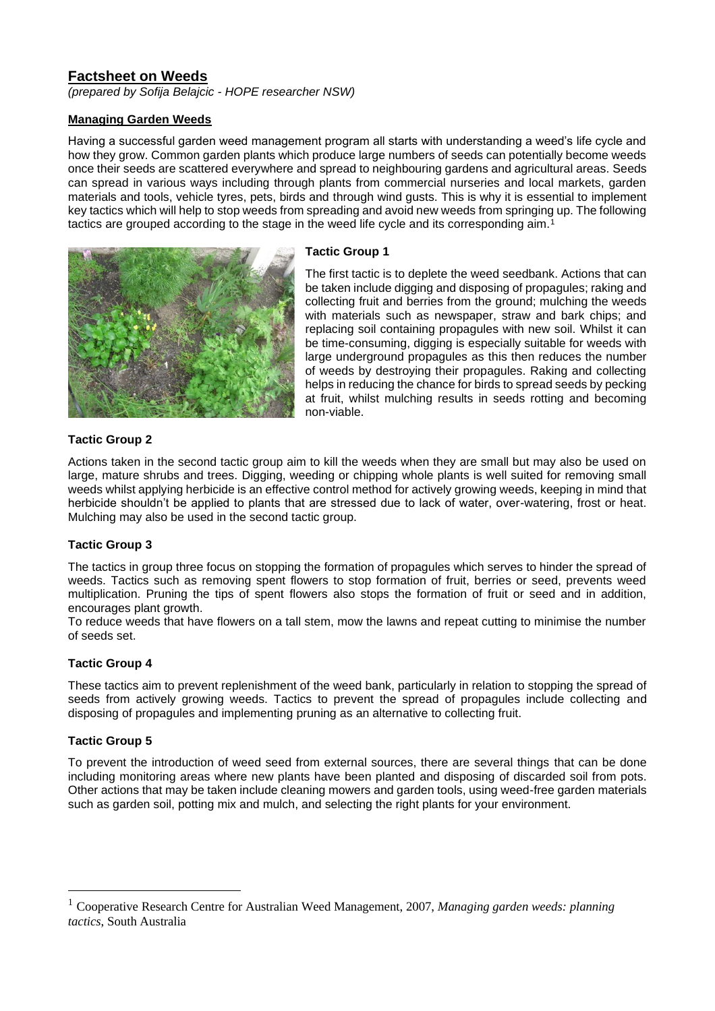# **Factsheet on Weeds**

*(prepared by Sofija Belajcic - HOPE researcher NSW)*

#### **Managing Garden Weeds**

Having a successful garden weed management program all starts with understanding a weed's life cycle and how they grow. Common garden plants which produce large numbers of seeds can potentially become weeds once their seeds are scattered everywhere and spread to neighbouring gardens and agricultural areas. Seeds can spread in various ways including through plants from commercial nurseries and local markets, garden materials and tools, vehicle tyres, pets, birds and through wind gusts. This is why it is essential to implement key tactics which will help to stop weeds from spreading and avoid new weeds from springing up. The following tactics are grouped according to the stage in the weed life cycle and its corresponding aim.<sup>1</sup>



# **Tactic Group 1**

The first tactic is to deplete the weed seedbank. Actions that can be taken include digging and disposing of propagules; raking and collecting fruit and berries from the ground; mulching the weeds with materials such as newspaper, straw and bark chips; and replacing soil containing propagules with new soil. Whilst it can be time-consuming, digging is especially suitable for weeds with large underground propagules as this then reduces the number of weeds by destroying their propagules. Raking and collecting helps in reducing the chance for birds to spread seeds by pecking at fruit, whilst mulching results in seeds rotting and becoming non-viable.

## **Tactic Group 2**

Actions taken in the second tactic group aim to kill the weeds when they are small but may also be used on large, mature shrubs and trees. Digging, weeding or chipping whole plants is well suited for removing small weeds whilst applying herbicide is an effective control method for actively growing weeds, keeping in mind that herbicide shouldn't be applied to plants that are stressed due to lack of water, over-watering, frost or heat. Mulching may also be used in the second tactic group.

## **Tactic Group 3**

The tactics in group three focus on stopping the formation of propagules which serves to hinder the spread of weeds. Tactics such as removing spent flowers to stop formation of fruit, berries or seed, prevents weed multiplication. Pruning the tips of spent flowers also stops the formation of fruit or seed and in addition, encourages plant growth.

To reduce weeds that have flowers on a tall stem, mow the lawns and repeat cutting to minimise the number of seeds set.

## **Tactic Group 4**

These tactics aim to prevent replenishment of the weed bank, particularly in relation to stopping the spread of seeds from actively growing weeds. Tactics to prevent the spread of propagules include collecting and disposing of propagules and implementing pruning as an alternative to collecting fruit.

## **Tactic Group 5**

To prevent the introduction of weed seed from external sources, there are several things that can be done including monitoring areas where new plants have been planted and disposing of discarded soil from pots. Other actions that may be taken include cleaning mowers and garden tools, using weed-free garden materials such as garden soil, potting mix and mulch, and selecting the right plants for your environment.

<sup>1</sup> Cooperative Research Centre for Australian Weed Management, 2007, *Managing garden weeds: planning tactics*, South Australia